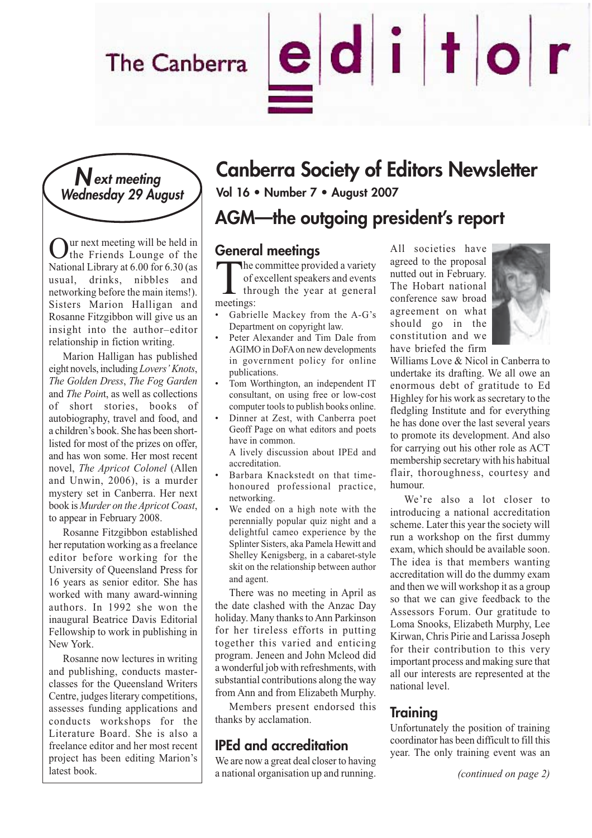# The Canberra

### **Next meeting Wednesday 29 August**

**Our next meeting will be held in** the Friends Lounge of the National Library at 6.00 for 6.30 (as usual, drinks, nibbles and networking before the main items!). Sisters Marion Halligan and Rosanne Fitzgibbon will give us an insight into the author–editor relationship in fiction writing.

Marion Halligan has published eight novels, including *Lovers' Knots*, *The Golden Dress*, *The Fog Garden* and *The Poin*t, as well as collections of short stories, books of autobiography, travel and food, and a children's book. She has been shortlisted for most of the prizes on offer, and has won some. Her most recent novel, *The Apricot Colonel* (Allen and Unwin, 2006), is a murder mystery set in Canberra. Her next book is *Murder on the Apricot Coast*, to appear in February 2008.

Rosanne Fitzgibbon established her reputation working as a freelance editor before working for the University of Queensland Press for 16 years as senior editor. She has worked with many award-winning authors. In 1992 she won the inaugural Beatrice Davis Editorial Fellowship to work in publishing in New York.

Rosanne now lectures in writing and publishing, conducts masterclasses for the Queensland Writers Centre, judges literary competitions, assesses funding applications and conducts workshops for the Literature Board. She is also a freelance editor and her most recent project has been editing Marion's latest book.

# **Canberra Society of Editors Newsletter**

**Vol 16 • Number 7 • August 2007**

### **AGM—the outgoing president's report**

#### **General meetings**

The committee provided a variety<br>of excellent speakers and events<br>through the year at general<br>meetings: of excellent speakers and events through the year at general meetings:

- Gabrielle Mackey from the A-G's Department on copyright law.
- Peter Alexander and Tim Dale from AGIMO in DoFA on new developments in government policy for online publications.
- Tom Worthington, an independent IT consultant, on using free or low-cost computer tools to publish books online.
- Dinner at Zest, with Canberra poet Geoff Page on what editors and poets have in common.
	- A lively discussion about IPEd and accreditation.
- Barbara Knackstedt on that timehonoured professional practice, networking.
- We ended on a high note with the perennially popular quiz night and a delightful cameo experience by the Splinter Sisters, aka Pamela Hewitt and Shelley Kenigsberg, in a cabaret-style skit on the relationship between author and agent.

There was no meeting in April as the date clashed with the Anzac Day holiday. Many thanks to Ann Parkinson for her tireless efforts in putting together this varied and enticing program. Jeneen and John Mcleod did a wonderful job with refreshments, with substantial contributions along the way from Ann and from Elizabeth Murphy.

Members present endorsed this thanks by acclamation.

### **IPEd and accreditation**

We are now a great deal closer to having a national organisation up and running. All societies have agreed to the proposal nutted out in February. The Hobart national conference saw broad agreement on what should go in the constitution and we have briefed the firm

editor



Williams Love & Nicol in Canberra to undertake its drafting. We all owe an enormous debt of gratitude to Ed Highley for his work as secretary to the fledgling Institute and for everything he has done over the last several years to promote its development. And also for carrying out his other role as ACT membership secretary with his habitual flair, thoroughness, courtesy and humour.

We're also a lot closer to introducing a national accreditation scheme. Later this year the society will run a workshop on the first dummy exam, which should be available soon. The idea is that members wanting accreditation will do the dummy exam and then we will workshop it as a group so that we can give feedback to the Assessors Forum. Our gratitude to Loma Snooks, Elizabeth Murphy, Lee Kirwan, Chris Pirie and Larissa Joseph for their contribution to this very important process and making sure that all our interests are represented at the national level.

#### **Training**

Unfortunately the position of training coordinator has been difficult to fill this year. The only training event was an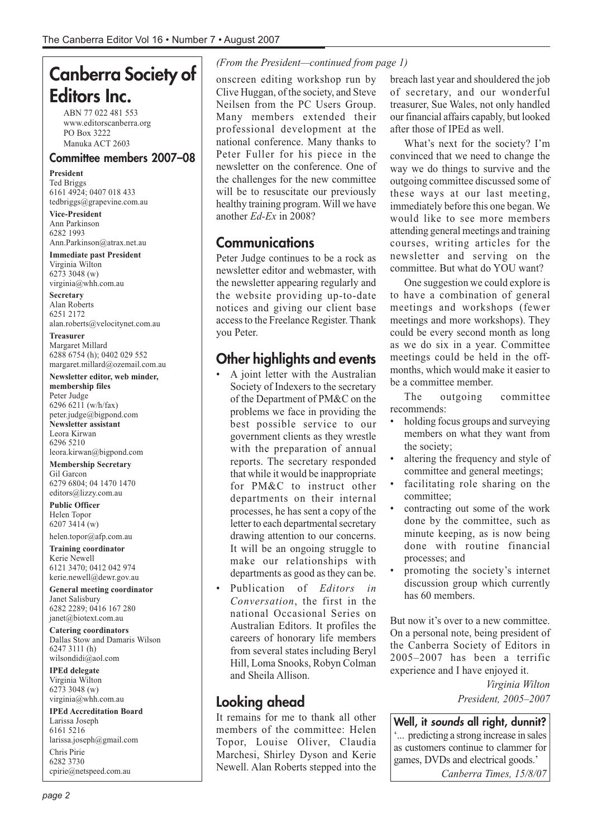## **Canberra Society of Editors Inc.**

ABN 77 022 481 553 www.editorscanberra.org PO Box 3222 Manuka ACT 2603

#### **Committee members 2007–08**

**President** Ted Briggs 6161 4924; 0407 018 433 tedbriggs@grapevine.com.au

**Vice-President** Ann Parkinson 6282 1993 Ann.Parkinson@atrax.net.au

**Immediate past President** Virginia Wilton 6273 3048 (w) virginia@whh.com.au

**Secretary** Alan Roberts 6251 2172 alan.roberts@velocitynet.com.au

**Treasurer** Margaret Millard 6288 6754 (h); 0402 029 552 margaret.millard@ozemail.com.au

**Newsletter editor, web minder,**

**membership files** Peter Judge 6296 6211 (w/h/fax) peter.judge@bigpond.com **Newsletter assistant** Leora Kirwan 6296 5210 leora.kirwan@bigpond.com

**Membership Secretary** Gil Garcon 6279 6804; 04 1470 1470 editors@lizzy.com.au

**Public Officer** Helen Topor 6207 3414 (w)

helen.topor@afp.com.au

**Training coordinator** Kerie Newell 6121 3470; 0412 042 974 kerie.newell@dewr.gov.au

**General meeting coordinator** Janet Salisbury 6282 2289; 0416 167 280 janet@biotext.com.au

**Catering coordinators** Dallas Stow and Damaris Wilson 6247 3111 (h) wilsondidi@aol.com

**IPEd delegate** Virginia Wilton 6273 3048 (w) virginia@whh.com.au

**IPEd Accreditation Board** Larissa Joseph

6161 5216 larissa.joseph@gmail.com Chris Pirie

6282 3730 cpirie@netspeed.com.au

#### *(From the President—continued from page 1)*

onscreen editing workshop run by Clive Huggan, of the society, and Steve Neilsen from the PC Users Group. Many members extended their professional development at the national conference. Many thanks to Peter Fuller for his piece in the newsletter on the conference. One of the challenges for the new committee will be to resuscitate our previously healthy training program. Will we have another *Ed-Ex* in 2008?

#### **Communications**

Peter Judge continues to be a rock as newsletter editor and webmaster, with the newsletter appearing regularly and the website providing up-to-date notices and giving our client base access to the Freelance Register. Thank you Peter.

### **Other highlights and events**

- A joint letter with the Australian Society of Indexers to the secretary of the Department of PM&C on the problems we face in providing the best possible service to our government clients as they wrestle with the preparation of annual reports. The secretary responded that while it would be inappropriate for PM&C to instruct other departments on their internal processes, he has sent a copy of the letter to each departmental secretary drawing attention to our concerns. It will be an ongoing struggle to make our relationships with departments as good as they can be.
- Publication of *Editors in Conversation*, the first in the national Occasional Series on Australian Editors. It profiles the careers of honorary life members from several states including Beryl Hill, Loma Snooks, Robyn Colman and Sheila Allison.

### **Looking ahead**

It remains for me to thank all other members of the committee: Helen Topor, Louise Oliver, Claudia Marchesi, Shirley Dyson and Kerie Newell. Alan Roberts stepped into the

breach last year and shouldered the job of secretary, and our wonderful treasurer, Sue Wales, not only handled our financial affairs capably, but looked after those of IPEd as well.

What's next for the society? I'm convinced that we need to change the way we do things to survive and the outgoing committee discussed some of these ways at our last meeting, immediately before this one began. We would like to see more members attending general meetings and training courses, writing articles for the newsletter and serving on the committee. But what do YOU want?

One suggestion we could explore is to have a combination of general meetings and workshops (fewer meetings and more workshops). They could be every second month as long as we do six in a year. Committee meetings could be held in the offmonths, which would make it easier to be a committee member.

The outgoing committee recommends:

- holding focus groups and surveying members on what they want from the society;
- altering the frequency and style of committee and general meetings;
- facilitating role sharing on the committee;
- contracting out some of the work done by the committee, such as minute keeping, as is now being done with routine financial processes; and
- promoting the society's internet discussion group which currently has 60 members.

But now it's over to a new committee. On a personal note, being president of the Canberra Society of Editors in 2005–2007 has been a terrific experience and I have enjoyed it.

> *Virginia Wilton President, 2005–2007*

**Well, it sounds all right, dunnit?** '... predicting a strong increase in sales as customers continue to clammer for games, DVDs and electrical goods.'

*Canberra Times, 15/8/07*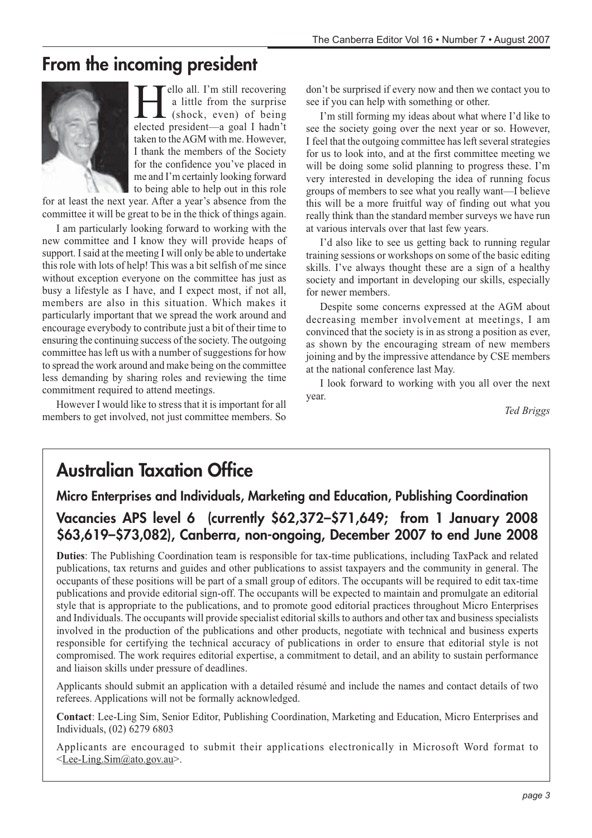### **From the incoming president**



ello all. I'm still recovering a little from the surprise (shock, even) of being elected president—a goal I hadn't taken to the AGM with me. However, I thank the members of the Society for the confidence you've placed in me and I'm certainly looking forward to being able to help out in this role

for at least the next year. After a year's absence from the committee it will be great to be in the thick of things again.

I am particularly looking forward to working with the new committee and I know they will provide heaps of support. I said at the meeting I will only be able to undertake this role with lots of help! This was a bit selfish of me since without exception everyone on the committee has just as busy a lifestyle as I have, and I expect most, if not all, members are also in this situation. Which makes it particularly important that we spread the work around and encourage everybody to contribute just a bit of their time to ensuring the continuing success of the society. The outgoing committee has left us with a number of suggestions for how to spread the work around and make being on the committee less demanding by sharing roles and reviewing the time commitment required to attend meetings.

However I would like to stress that it is important for all members to get involved, not just committee members. So don't be surprised if every now and then we contact you to see if you can help with something or other.

I'm still forming my ideas about what where I'd like to see the society going over the next year or so. However, I feel that the outgoing committee has left several strategies for us to look into, and at the first committee meeting we will be doing some solid planning to progress these. I'm very interested in developing the idea of running focus groups of members to see what you really want—I believe this will be a more fruitful way of finding out what you really think than the standard member surveys we have run at various intervals over that last few years.

I'd also like to see us getting back to running regular training sessions or workshops on some of the basic editing skills. I've always thought these are a sign of a healthy society and important in developing our skills, especially for newer members.

Despite some concerns expressed at the AGM about decreasing member involvement at meetings, I am convinced that the society is in as strong a position as ever, as shown by the encouraging stream of new members joining and by the impressive attendance by CSE members at the national conference last May.

I look forward to working with you all over the next year.

*Ted Briggs*

### **Australian Taxation Office**

### **Micro Enterprises and Individuals, Marketing and Education, Publishing Coordination Vacancies APS level 6 (currently \$62,372–\$71,649; from 1 January 2008 \$63,619–\$73,082), Canberra, non-ongoing, December 2007 to end June 2008**

**Duties**: The Publishing Coordination team is responsible for tax-time publications, including TaxPack and related publications, tax returns and guides and other publications to assist taxpayers and the community in general. The occupants of these positions will be part of a small group of editors. The occupants will be required to edit tax-time publications and provide editorial sign-off. The occupants will be expected to maintain and promulgate an editorial style that is appropriate to the publications, and to promote good editorial practices throughout Micro Enterprises and Individuals. The occupants will provide specialist editorial skills to authors and other tax and business specialists involved in the production of the publications and other products, negotiate with technical and business experts responsible for certifying the technical accuracy of publications in order to ensure that editorial style is not compromised. The work requires editorial expertise, a commitment to detail, and an ability to sustain performance and liaison skills under pressure of deadlines.

Applicants should submit an application with a detailed résumé and include the names and contact details of two referees. Applications will not be formally acknowledged.

**Contact**: Lee-Ling Sim, Senior Editor, Publishing Coordination, Marketing and Education, Micro Enterprises and Individuals, (02) 6279 6803

Applicants are encouraged to submit their applications electronically in Microsoft Word format to <Lee-Ling.Sim@ato.gov.au>.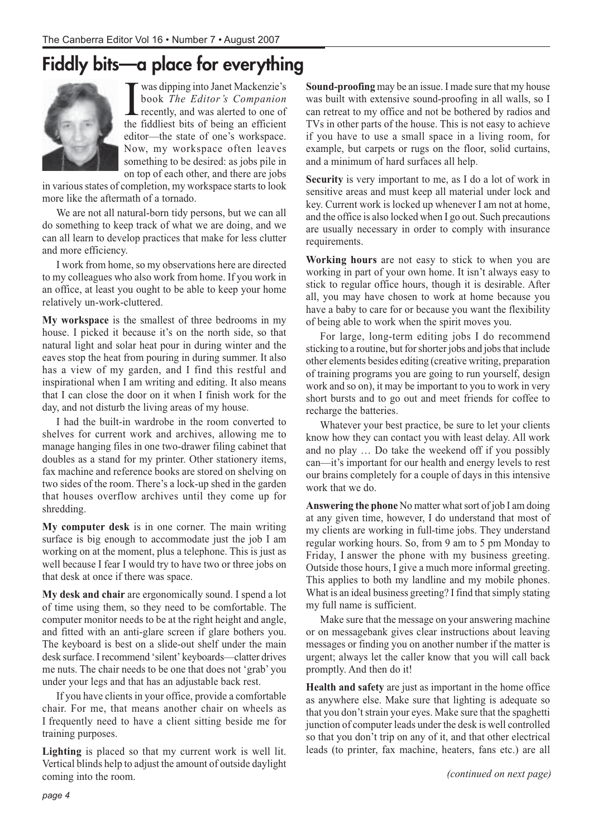# **Fiddly bits—a place for everything**



I was dipping into Janet Mackenzie's<br>book *The Editor's Companion*<br>recently, and was alerted to one of<br>the fiddliest hits of being an efficient book *The Editor's Companion* recently, and was alerted to one of the fiddliest bits of being an efficient editor—the state of one's workspace. Now, my workspace often leaves something to be desired: as jobs pile in on top of each other, and there are jobs

in various states of completion, my workspace starts to look more like the aftermath of a tornado.

We are not all natural-born tidy persons, but we can all do something to keep track of what we are doing, and we can all learn to develop practices that make for less clutter and more efficiency.

I work from home, so my observations here are directed to my colleagues who also work from home. If you work in an office, at least you ought to be able to keep your home relatively un-work-cluttered.

**My workspace** is the smallest of three bedrooms in my house. I picked it because it's on the north side, so that natural light and solar heat pour in during winter and the eaves stop the heat from pouring in during summer. It also has a view of my garden, and I find this restful and inspirational when I am writing and editing. It also means that I can close the door on it when I finish work for the day, and not disturb the living areas of my house.

I had the built-in wardrobe in the room converted to shelves for current work and archives, allowing me to manage hanging files in one two-drawer filing cabinet that doubles as a stand for my printer. Other stationery items, fax machine and reference books are stored on shelving on two sides of the room. There's a lock-up shed in the garden that houses overflow archives until they come up for shredding.

**My computer desk** is in one corner. The main writing surface is big enough to accommodate just the job I am working on at the moment, plus a telephone. This is just as well because I fear I would try to have two or three jobs on that desk at once if there was space.

**My desk and chair** are ergonomically sound. I spend a lot of time using them, so they need to be comfortable. The computer monitor needs to be at the right height and angle, and fitted with an anti-glare screen if glare bothers you. The keyboard is best on a slide-out shelf under the main desk surface. I recommend 'silent' keyboards—clatter drives me nuts. The chair needs to be one that does not 'grab' you under your legs and that has an adjustable back rest.

If you have clients in your office, provide a comfortable chair. For me, that means another chair on wheels as I frequently need to have a client sitting beside me for training purposes.

**Lighting** is placed so that my current work is well lit. Vertical blinds help to adjust the amount of outside daylight coming into the room.

**Sound-proofing** may be an issue. I made sure that my house was built with extensive sound-proofing in all walls, so I can retreat to my office and not be bothered by radios and TVs in other parts of the house. This is not easy to achieve if you have to use a small space in a living room, for example, but carpets or rugs on the floor, solid curtains, and a minimum of hard surfaces all help.

**Security** is very important to me, as I do a lot of work in sensitive areas and must keep all material under lock and key. Current work is locked up whenever I am not at home, and the office is also locked when I go out. Such precautions are usually necessary in order to comply with insurance requirements.

**Working hours** are not easy to stick to when you are working in part of your own home. It isn't always easy to stick to regular office hours, though it is desirable. After all, you may have chosen to work at home because you have a baby to care for or because you want the flexibility of being able to work when the spirit moves you.

For large, long-term editing jobs I do recommend sticking to a routine, but for shorter jobs and jobs that include other elements besides editing (creative writing, preparation of training programs you are going to run yourself, design work and so on), it may be important to you to work in very short bursts and to go out and meet friends for coffee to recharge the batteries.

Whatever your best practice, be sure to let your clients know how they can contact you with least delay. All work and no play … Do take the weekend off if you possibly can—it's important for our health and energy levels to rest our brains completely for a couple of days in this intensive work that we do.

**Answering the phone** No matter what sort of job I am doing at any given time, however, I do understand that most of my clients are working in full-time jobs. They understand regular working hours. So, from 9 am to 5 pm Monday to Friday, I answer the phone with my business greeting. Outside those hours, I give a much more informal greeting. This applies to both my landline and my mobile phones. What is an ideal business greeting? I find that simply stating my full name is sufficient.

Make sure that the message on your answering machine or on messagebank gives clear instructions about leaving messages or finding you on another number if the matter is urgent; always let the caller know that you will call back promptly. And then do it!

**Health and safety** are just as important in the home office as anywhere else. Make sure that lighting is adequate so that you don't strain your eyes. Make sure that the spaghetti junction of computer leads under the desk is well controlled so that you don't trip on any of it, and that other electrical leads (to printer, fax machine, heaters, fans etc.) are all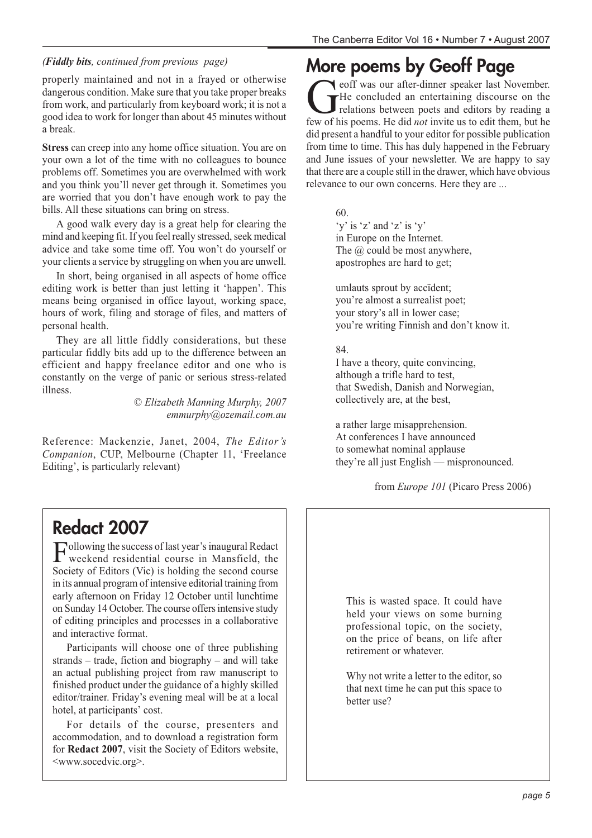#### *(Fiddly bits, continued from previous page)*

properly maintained and not in a frayed or otherwise dangerous condition. Make sure that you take proper breaks from work, and particularly from keyboard work; it is not a good idea to work for longer than about 45 minutes without a break.

**Stress** can creep into any home office situation. You are on your own a lot of the time with no colleagues to bounce problems off. Sometimes you are overwhelmed with work and you think you'll never get through it. Sometimes you are worried that you don't have enough work to pay the bills. All these situations can bring on stress.

A good walk every day is a great help for clearing the mind and keeping fit. If you feel really stressed, seek medical advice and take some time off. You won't do yourself or your clients a service by struggling on when you are unwell.

In short, being organised in all aspects of home office editing work is better than just letting it 'happen'. This means being organised in office layout, working space, hours of work, filing and storage of files, and matters of personal health.

They are all little fiddly considerations, but these particular fiddly bits add up to the difference between an efficient and happy freelance editor and one who is constantly on the verge of panic or serious stress-related illness.

*© Elizabeth Manning Murphy, 2007 emmurphy@ozemail.com.au*

Reference: Mackenzie, Janet, 2004, *The Editor's Companion*, CUP, Melbourne (Chapter 11, 'Freelance Editing', is particularly relevant)

## **More poems by Geoff Page**

eoff was our after-dinner speaker last November.<br>He concluded an entertaining discourse on the relations between poets and editors by reading a<br>few of his noems. He did *not* invite us to edit them, but he He concluded an entertaining discourse on the relations between poets and editors by reading a few of his poems. He did *not* invite us to edit them, but he did present a handful to your editor for possible publication from time to time. This has duly happened in the February and June issues of your newsletter. We are happy to say that there are a couple still in the drawer, which have obvious relevance to our own concerns. Here they are ...

60.

'y' is 'z' and 'z' is 'y' in Europe on the Internet. The  $\omega$  could be most anywhere, apostrophes are hard to get;

umlauts sprout by accïdent; you're almost a surrealist poet; your story's all in lower case; you're writing Finnish and don't know it.

84.

I have a theory, quite convincing, although a trifle hard to test, that Swedish, Danish and Norwegian, collectively are, at the best,

a rather large misapprehension. At conferences I have announced to somewhat nominal applause they're all just English — mispronounced.

from *Europe 101* (Picaro Press 2006)

### **Redact 2007**

Following the success of last year's inaugural Redact weekend residential course in Mansfield, the Society of Editors (Vic) is holding the second course in its annual program of intensive editorial training from early afternoon on Friday 12 October until lunchtime on Sunday 14 October. The course offers intensive study of editing principles and processes in a collaborative and interactive format.

Participants will choose one of three publishing strands – trade, fiction and biography – and will take an actual publishing project from raw manuscript to finished product under the guidance of a highly skilled editor/trainer. Friday's evening meal will be at a local hotel, at participants' cost.

For details of the course, presenters and accommodation, and to download a registration form for **Redact 2007**, visit the Society of Editors website, <www.socedvic.org>.

This is wasted space. It could have held your views on some burning professional topic, on the society, on the price of beans, on life after retirement or whatever.

Why not write a letter to the editor, so that next time he can put this space to better use?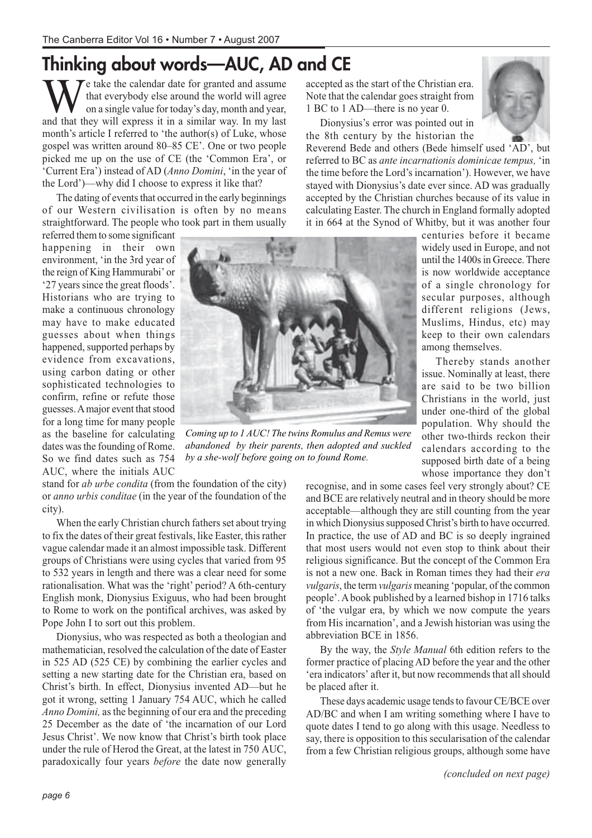# **Thinking about words—AUC, AD and CE**

 $\tau$  take the calendar date for granted and assume that everybody else around the world will agree on a single value for today's day, month and year, and that they will express it in a similar way. In my last month's article I referred to 'the author(s) of Luke, whose gospel was written around 80–85 CE'. One or two people picked me up on the use of CE (the 'Common Era', or 'Current Era') instead of AD (*Anno Domini*, 'in the year of the Lord')—why did I choose to express it like that?

The dating of events that occurred in the early beginnings of our Western civilisation is often by no means straightforward. The people who took part in them usually

referred them to some significant happening in their own environment, 'in the 3rd year of the reign of King Hammurabi' or '27 years since the great floods'. Historians who are trying to make a continuous chronology may have to make educated guesses about when things happened, supported perhaps by evidence from excavations, using carbon dating or other sophisticated technologies to confirm, refine or refute those guesses. A major event that stood for a long time for many people as the baseline for calculating dates was the founding of Rome. So we find dates such as 754 AUC, where the initials AUC



*Coming up to 1 AUC! The twins Romulus and Remus were abandoned by their parents, then adopted and suckled by a she-wolf before going on to found Rome.*

stand for *ab urbe condita* (from the foundation of the city) or *anno urbis conditae* (in the year of the foundation of the city).

When the early Christian church fathers set about trying to fix the dates of their great festivals, like Easter, this rather vague calendar made it an almost impossible task. Different groups of Christians were using cycles that varied from 95 to 532 years in length and there was a clear need for some rationalisation. What was the 'right' period? A 6th-century English monk, Dionysius Exiguus, who had been brought to Rome to work on the pontifical archives, was asked by Pope John I to sort out this problem.

Dionysius, who was respected as both a theologian and mathematician, resolved the calculation of the date of Easter in 525 AD (525 CE) by combining the earlier cycles and setting a new starting date for the Christian era, based on Christ's birth. In effect, Dionysius invented AD—but he got it wrong, setting 1 January 754 AUC, which he called *Anno Domini,* as the beginning of our era and the preceding 25 December as the date of 'the incarnation of our Lord Jesus Christ'. We now know that Christ's birth took place under the rule of Herod the Great, at the latest in 750 AUC, paradoxically four years *before* the date now generally

accepted as the start of the Christian era. Note that the calendar goes straight from 1 BC to 1 AD—there is no year 0.

Dionysius's error was pointed out in the 8th century by the historian the



Reverend Bede and others (Bede himself used 'AD', but referred to BC as *ante incarnationis dominicae tempus,* 'in the time before the Lord's incarnation'). However, we have stayed with Dionysius's date ever since. AD was gradually accepted by the Christian churches because of its value in calculating Easter. The church in England formally adopted it in 664 at the Synod of Whitby, but it was another four

> centuries before it became widely used in Europe, and not until the 1400s in Greece. There is now worldwide acceptance of a single chronology for secular purposes, although different religions (Jews, Muslims, Hindus, etc) may keep to their own calendars among themselves.

> Thereby stands another issue. Nominally at least, there are said to be two billion Christians in the world, just under one-third of the global population. Why should the other two-thirds reckon their calendars according to the supposed birth date of a being whose importance they don't

recognise, and in some cases feel very strongly about? CE and BCE are relatively neutral and in theory should be more acceptable—although they are still counting from the year in which Dionysius supposed Christ's birth to have occurred. In practice, the use of AD and BC is so deeply ingrained that most users would not even stop to think about their religious significance. But the concept of the Common Era is not a new one. Back in Roman times they had their *era vulgaris*, the term *vulgaris* meaning 'popular, of the common people'. A book published by a learned bishop in 1716 talks of 'the vulgar era, by which we now compute the years from His incarnation', and a Jewish historian was using the abbreviation BCE in 1856.

By the way, the *Style Manual* 6th edition refers to the former practice of placing AD before the year and the other 'era indicators' after it, but now recommends that all should be placed after it.

These days academic usage tends to favour CE/BCE over AD/BC and when I am writing something where I have to quote dates I tend to go along with this usage. Needless to say, there is opposition to this secularisation of the calendar from a few Christian religious groups, although some have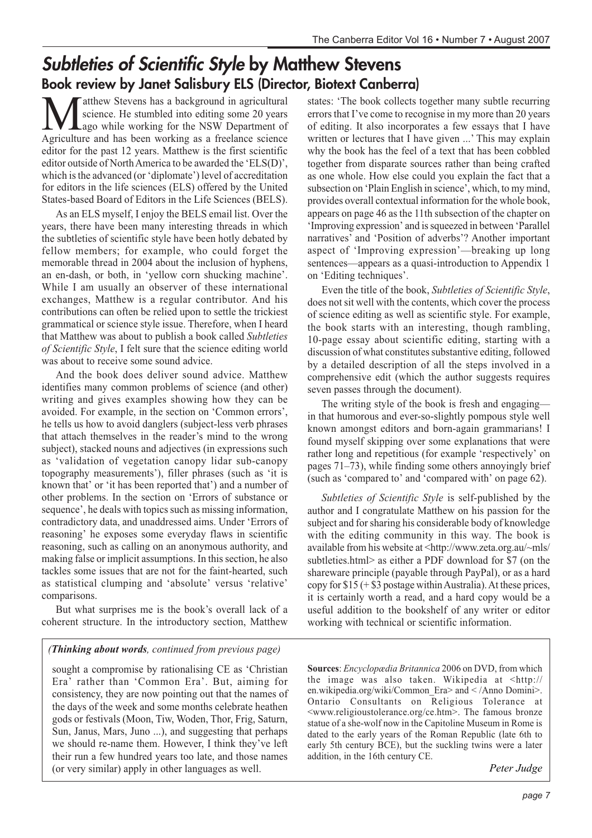### **Subtleties of Scientific Style by Matthew Stevens Book review by Janet Salisbury ELS (Director, Biotext Canberra)**

Matthew Stevens has a background in agricultural<br>science. He stumbled into editing some 20 years<br>Agriculture and has been working as a freelance science science. He stumbled into editing some 20 years ago while working for the NSW Department of Agriculture and has been working as a freelance science editor for the past 12 years. Matthew is the first scientific editor outside of North America to be awarded the 'ELS(D)', which is the advanced (or 'diplomate') level of accreditation for editors in the life sciences (ELS) offered by the United States-based Board of Editors in the Life Sciences (BELS).

As an ELS myself, I enjoy the BELS email list. Over the years, there have been many interesting threads in which the subtleties of scientific style have been hotly debated by fellow members; for example, who could forget the memorable thread in 2004 about the inclusion of hyphens, an en-dash, or both, in 'yellow corn shucking machine'. While I am usually an observer of these international exchanges, Matthew is a regular contributor. And his contributions can often be relied upon to settle the trickiest grammatical or science style issue. Therefore, when I heard that Matthew was about to publish a book called *Subtleties of Scientific Style*, I felt sure that the science editing world was about to receive some sound advice.

And the book does deliver sound advice. Matthew identifies many common problems of science (and other) writing and gives examples showing how they can be avoided. For example, in the section on 'Common errors', he tells us how to avoid danglers (subject-less verb phrases that attach themselves in the reader's mind to the wrong subject), stacked nouns and adjectives (in expressions such as 'validation of vegetation canopy lidar sub-canopy topography measurements'), filler phrases (such as 'it is known that' or 'it has been reported that') and a number of other problems. In the section on 'Errors of substance or sequence', he deals with topics such as missing information, contradictory data, and unaddressed aims. Under 'Errors of reasoning' he exposes some everyday flaws in scientific reasoning, such as calling on an anonymous authority, and making false or implicit assumptions. In this section, he also tackles some issues that are not for the faint-hearted, such as statistical clumping and 'absolute' versus 'relative' comparisons.

But what surprises me is the book's overall lack of a coherent structure. In the introductory section, Matthew

#### *(Thinking about words, continued from previous page)*

sought a compromise by rationalising CE as 'Christian Era' rather than 'Common Era'. But, aiming for consistency, they are now pointing out that the names of the days of the week and some months celebrate heathen gods or festivals (Moon, Tiw, Woden, Thor, Frig, Saturn, Sun, Janus, Mars, Juno ...), and suggesting that perhaps we should re-name them. However, I think they've left their run a few hundred years too late, and those names (or very similar) apply in other languages as well.

states: 'The book collects together many subtle recurring errors that I've come to recognise in my more than 20 years of editing. It also incorporates a few essays that I have written or lectures that I have given ...' This may explain why the book has the feel of a text that has been cobbled together from disparate sources rather than being crafted as one whole. How else could you explain the fact that a subsection on 'Plain English in science', which, to my mind, provides overall contextual information for the whole book, appears on page 46 as the 11th subsection of the chapter on 'Improving expression' and is squeezed in between 'Parallel narratives' and 'Position of adverbs'? Another important aspect of 'Improving expression'—breaking up long sentences—appears as a quasi-introduction to Appendix 1 on 'Editing techniques'.

Even the title of the book, *Subtleties of Scientific Style*, does not sit well with the contents, which cover the process of science editing as well as scientific style. For example, the book starts with an interesting, though rambling, 10-page essay about scientific editing, starting with a discussion of what constitutes substantive editing, followed by a detailed description of all the steps involved in a comprehensive edit (which the author suggests requires seven passes through the document).

The writing style of the book is fresh and engaging in that humorous and ever-so-slightly pompous style well known amongst editors and born-again grammarians! I found myself skipping over some explanations that were rather long and repetitious (for example 'respectively' on pages 71–73), while finding some others annoyingly brief (such as 'compared to' and 'compared with' on page 62).

*Subtleties of Scientific Style* is self-published by the author and I congratulate Matthew on his passion for the subject and for sharing his considerable body of knowledge with the editing community in this way. The book is available from his website at <http://www.zeta.org.au/~mls/ subtleties.html> as either a PDF download for \$7 (on the shareware principle (payable through PayPal), or as a hard copy for \$15 (+ \$3 postage within Australia). At these prices, it is certainly worth a read, and a hard copy would be a useful addition to the bookshelf of any writer or editor working with technical or scientific information.

**Sources**: *Encyclopædia Britannica* 2006 on DVD, from which the image was also taken. Wikipedia at <http:// en.wikipedia.org/wiki/Common\_Era> and < /Anno Domini>. Ontario Consultants on Religious Tolerance at <www.religioustolerance.org/ce.htm>. The famous bronze statue of a she-wolf now in the Capitoline Museum in Rome is dated to the early years of the Roman Republic (late 6th to early 5th century BCE), but the suckling twins were a later addition, in the 16th century CE.

*Peter Judge*